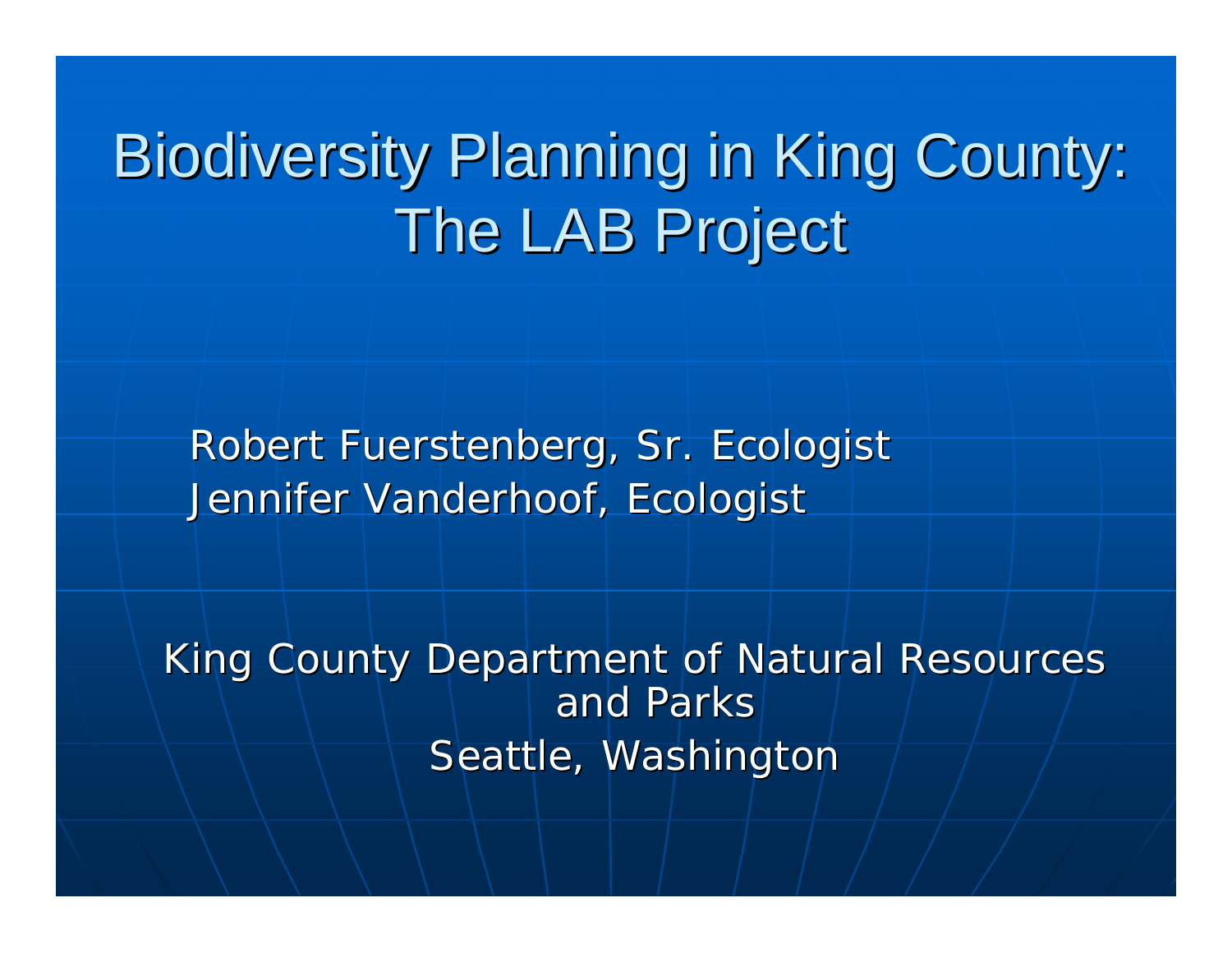## Biodiversity Planning in King County: The LAB Project

Robert Fuerstenberg, Sr. Ecologist Jennifer Vanderhoof, Ecologist

King County Department of Natural Resources and Parks Seattle, Washington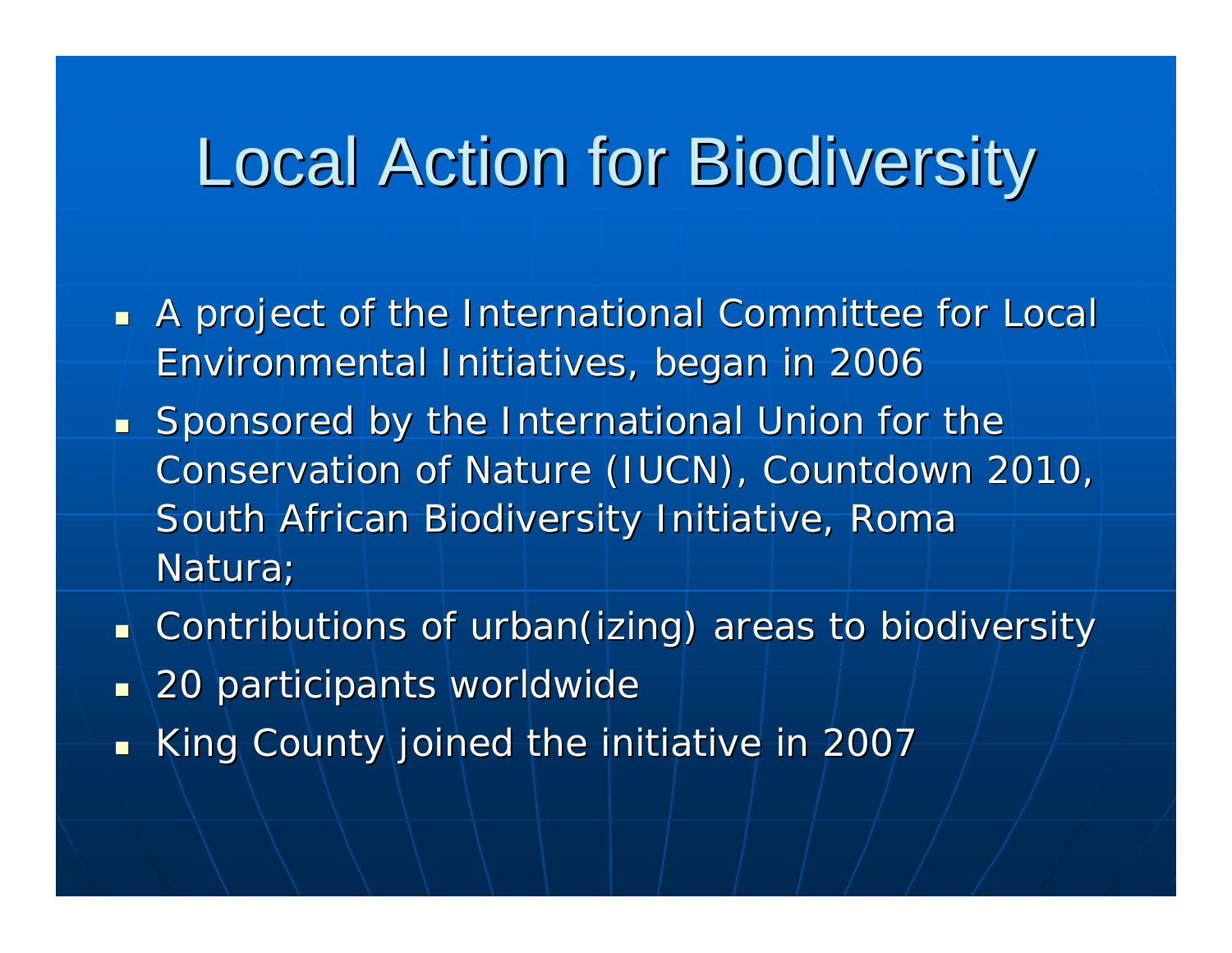### Local Action for Biodiversity Local Action for Biodiversity

- A project of the International Committee for Local Environmental Initiatives, began in 2006 Environmental Initiatives, began in 2006
- Sponsored by the International Union for the Conservation of Nature (IUCN), Countdown 2010, South African Biodiversity Initiative, Roma Natura;
- $\blacksquare$  Contributions of urban(izing) areas to biodiversity
- $\textcolor{red}{\bullet}$  \20 participants worldwide
- $\mathbb{R}^2$ King County joined the initiative in 2007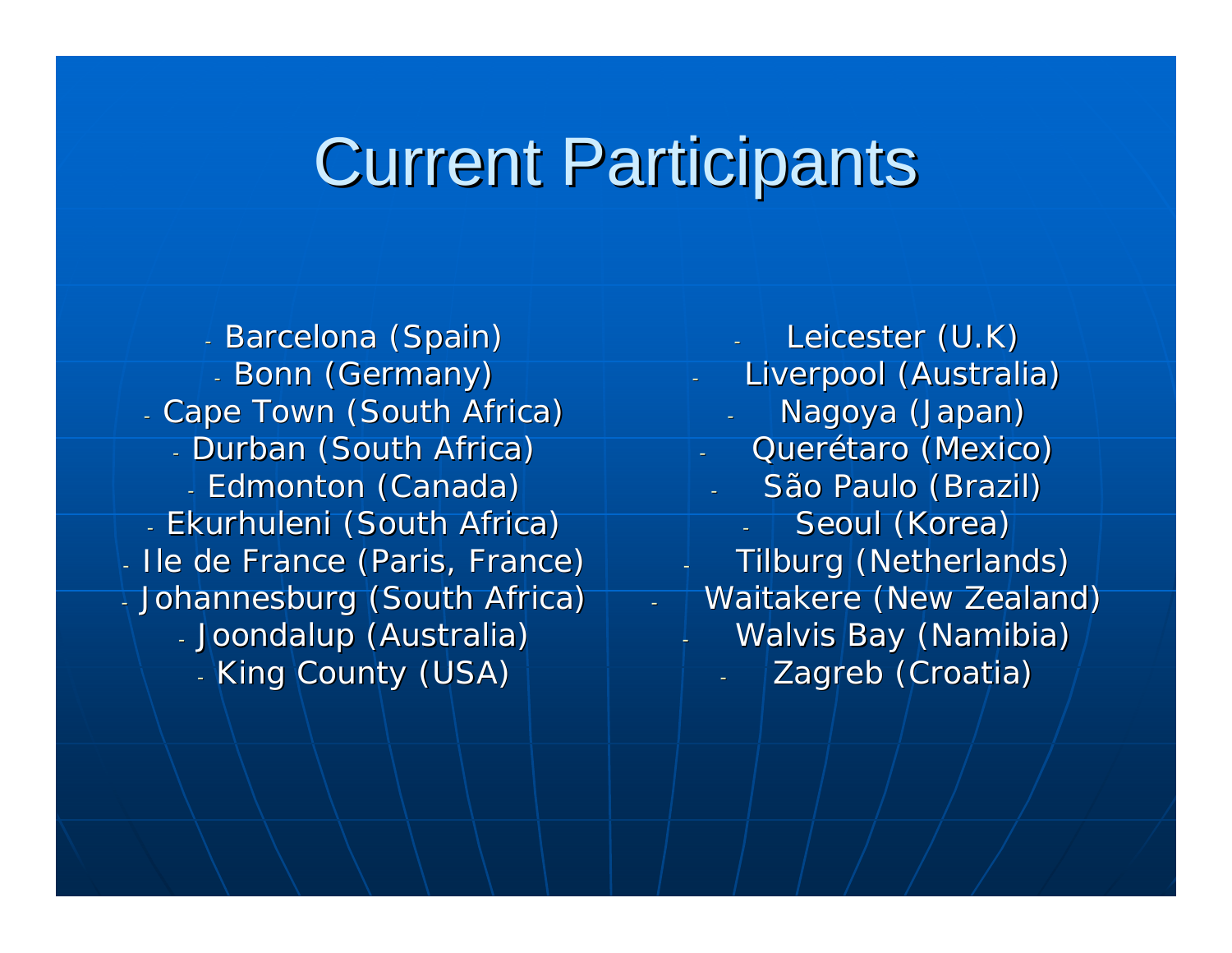### **Current Participants**

-

- Barcelona (Spain) - Bonn (Germany) - Cape Town (South Africa) - Durban (South Africa) - Edmonton (Canada) - Ekurhuleni (South Africa) - Ile de France (Paris, France) - Johannesburg (South Africa) - Joondalup (Australia) - King County (USA)

Leicester (U.K) Liverpool (Australia) Nagoya (Japan) Querétaro (Mexico) São Paulo (Brazil) Seoul (Korea) -Tilburg (Netherlands) - Waitakere (New Zealand) Walvis Bay (Namibia) Zagreb (Croatia)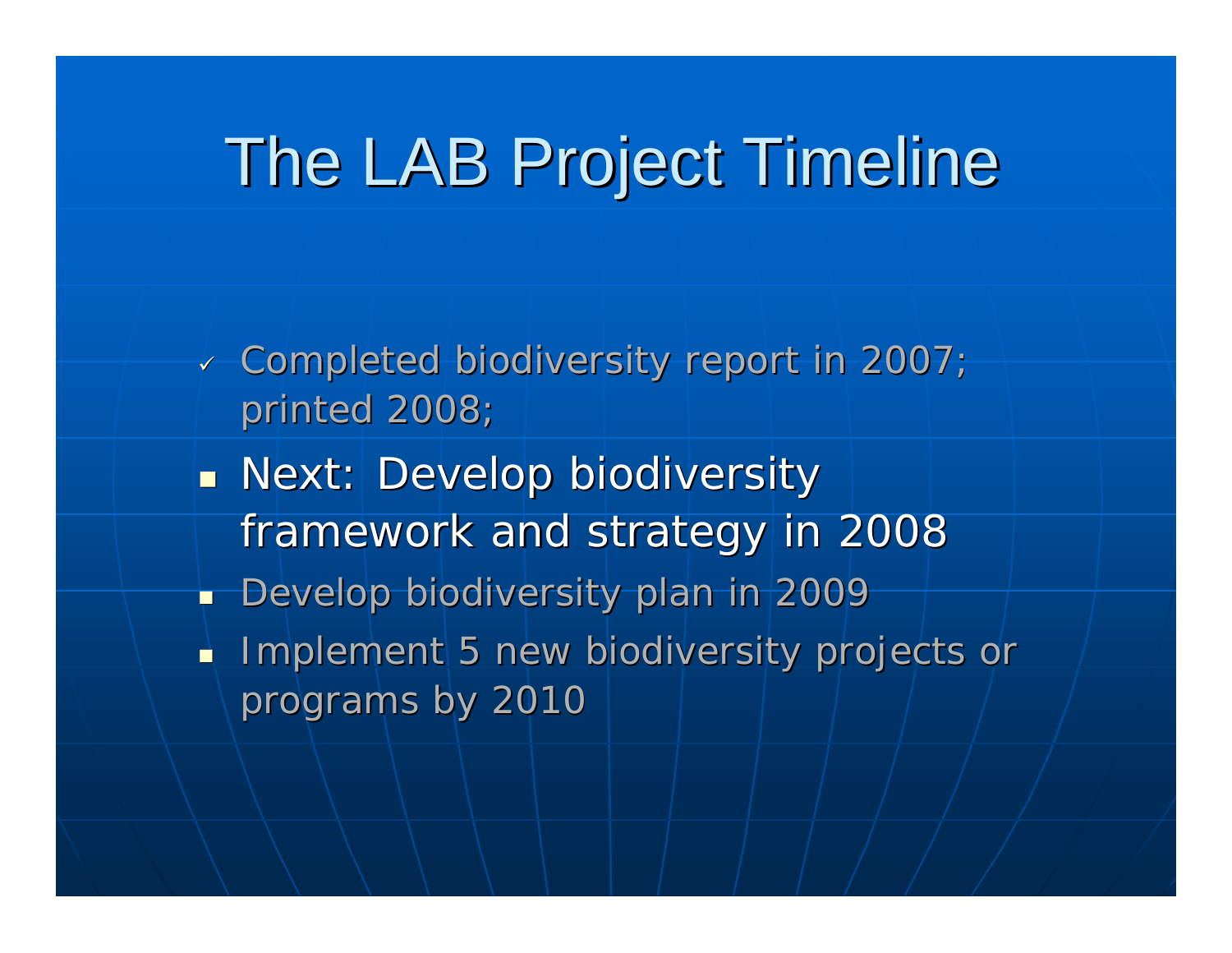### The LAB Project Timeline

- $\sim$  Completed biodiversity report in 2007;  $\sim$ printed 2008;
- $\mathbb{R}^2$  $\blacksquare$  Next: Develop biodiversity framework and strategy in 2008
- $\mathbb{R}^2$ Develop biodiversity plan in 2009
- È. Implement 5 new biodiversity projects or programs by 2010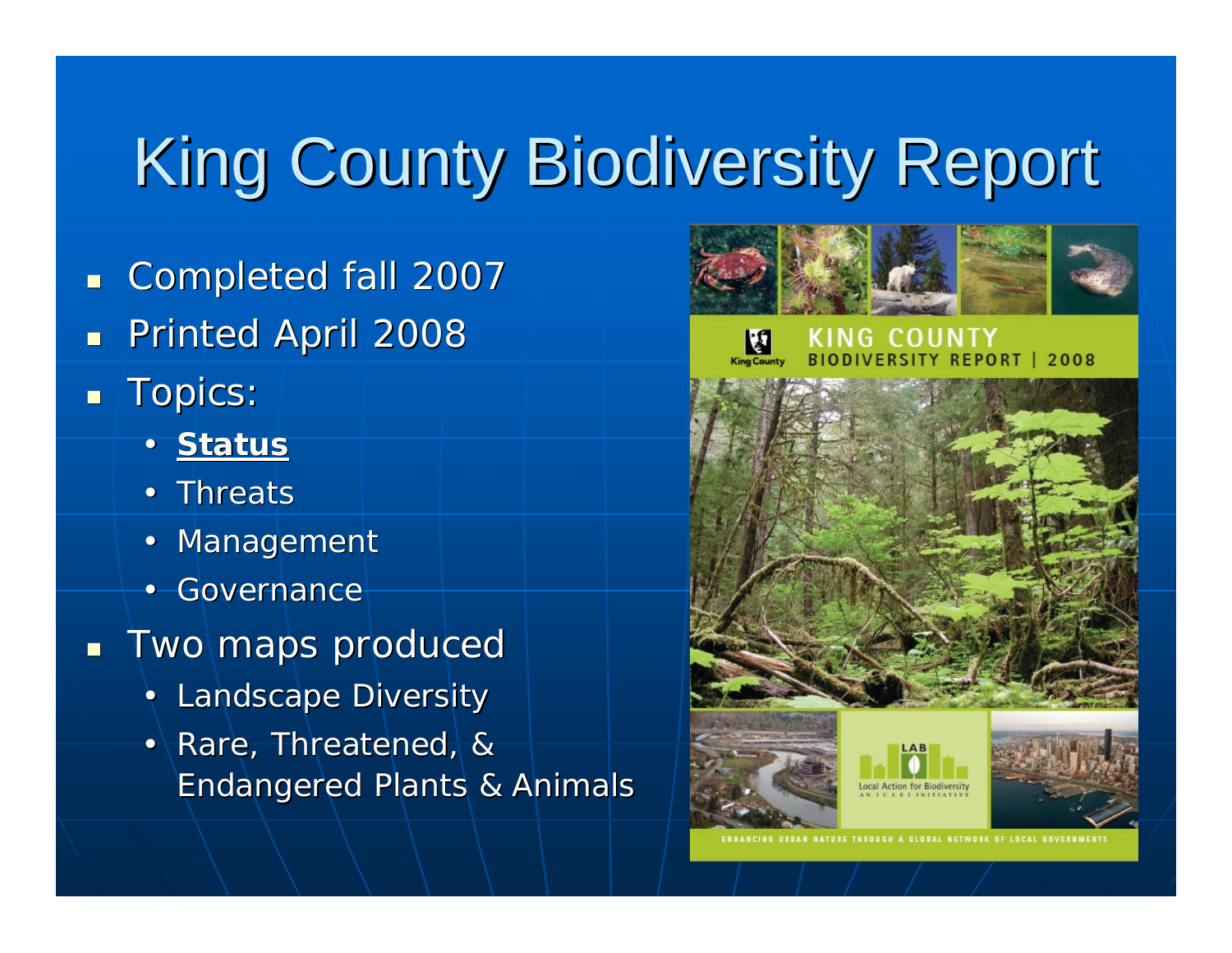# King County Biodiversity Report

- $\blacksquare$ Completed fall 2007 Completed fall 2007
- П Printed April 2008
- П Topics:
	- **Status**
	- Threats
	- Management
	- Governance
- $\blacksquare$ Two maps produced
	- Landscape Diversity
	- Rare, Threatened, & Endangered Plants & Animals Endangered Plants & Animals





ENHANCING URPAN NATURE THROUGH A GLOPAL NETWORK OF LOCAL GOVERNMENTS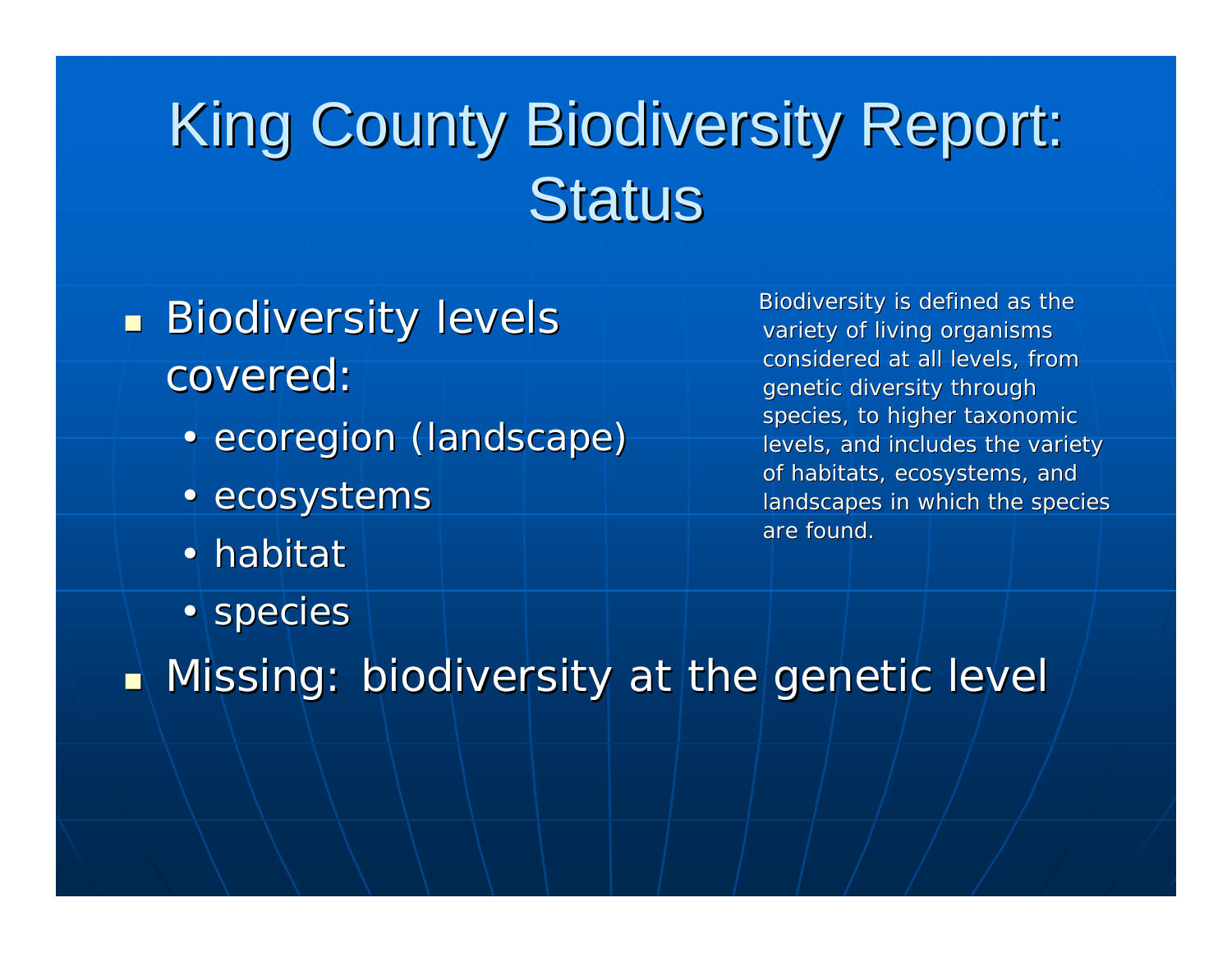### King County Biodiversity Report: **Status**

#### $\mathbb{R}^2$  $\blacksquare$  Biodiversity levels covered:

- ecoregion (landscape)
- ecosystems
- habitat
- species

Biodiversity is defined as the variety of living organisms considered at all levels, from genetic diversity through species, to higher taxonomic levels, and includes the variety of habitats, ecosystems, and landscapes in which the species are found.

 $\mathbb{R}^2$  $\blacksquare$  Missing: biodiversity at the genetic level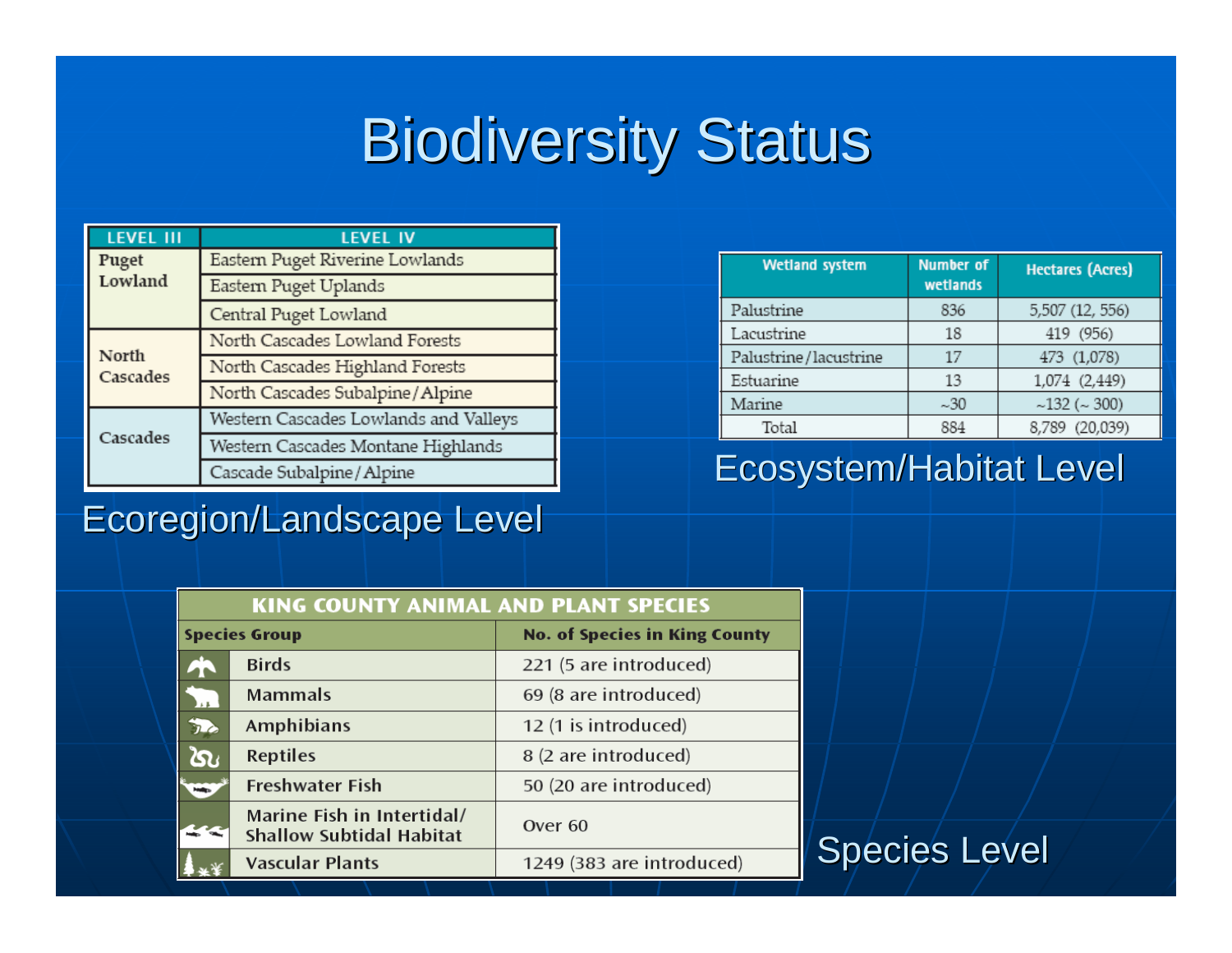### **Biodiversity Status**

| <b>LEVEL III</b>  | <b>LEVEL IV</b>                       |
|-------------------|---------------------------------------|
| Puget             | Eastern Puget Riverine Lowlands       |
| Lowland           | Eastern Puget Uplands                 |
|                   | Central Puget Lowland                 |
|                   | North Cascades Lowland Forests        |
| North<br>Cascades | North Cascades Highland Forests       |
|                   | North Cascades Subalpine/Alpine       |
|                   | Western Cascades Lowlands and Valleys |
| Cascades          | Western Cascades Montane Highlands    |
|                   | Cascade Subalpine / Alpine            |

#### Ecoregion/Landscape Level

| <b>Wetland system</b> | <b>Number of</b><br>wetlands | <b>Hectares (Acres)</b> |
|-----------------------|------------------------------|-------------------------|
| Palustrine            | 836                          | 5,507 (12, 556)         |
| Lacustrine            | 18                           | 419 (956)               |
| Palustrine/lacustrine | 17                           | 473 (1,078)             |
| Estuarine             | 13                           | 1,074 (2,449)           |
| Marine                | ~1.30                        | ~132~(~300)             |
| Total                 | 884                          | 8,789 (20,039)          |

### **Ecosystem/Habitat Level**

| <b>KING COUNTY ANIMAL AND PLANT SPECIES</b> |                                                               |                                      |  |  |
|---------------------------------------------|---------------------------------------------------------------|--------------------------------------|--|--|
| <b>Species Group</b>                        |                                                               | <b>No. of Species in King County</b> |  |  |
|                                             | <b>Birds</b>                                                  | 221 (5 are introduced)               |  |  |
| $\frac{1}{2}$                               | <b>Mammals</b>                                                | 69 (8 are introduced)                |  |  |
| 办                                           | Amphibians                                                    | 12 (1 is introduced)                 |  |  |
| ໄດ                                          | <b>Reptiles</b>                                               | 8 (2 are introduced)                 |  |  |
| <b>Helip</b>                                | <b>Freshwater Fish</b>                                        | 50 (20 are introduced)               |  |  |
|                                             | Marine Fish in Intertidal/<br><b>Shallow Subtidal Habitat</b> | Over <sub>60</sub>                   |  |  |
|                                             | <b>Vascular Plants</b>                                        | 1249 (383 are introduced)            |  |  |

### Species Level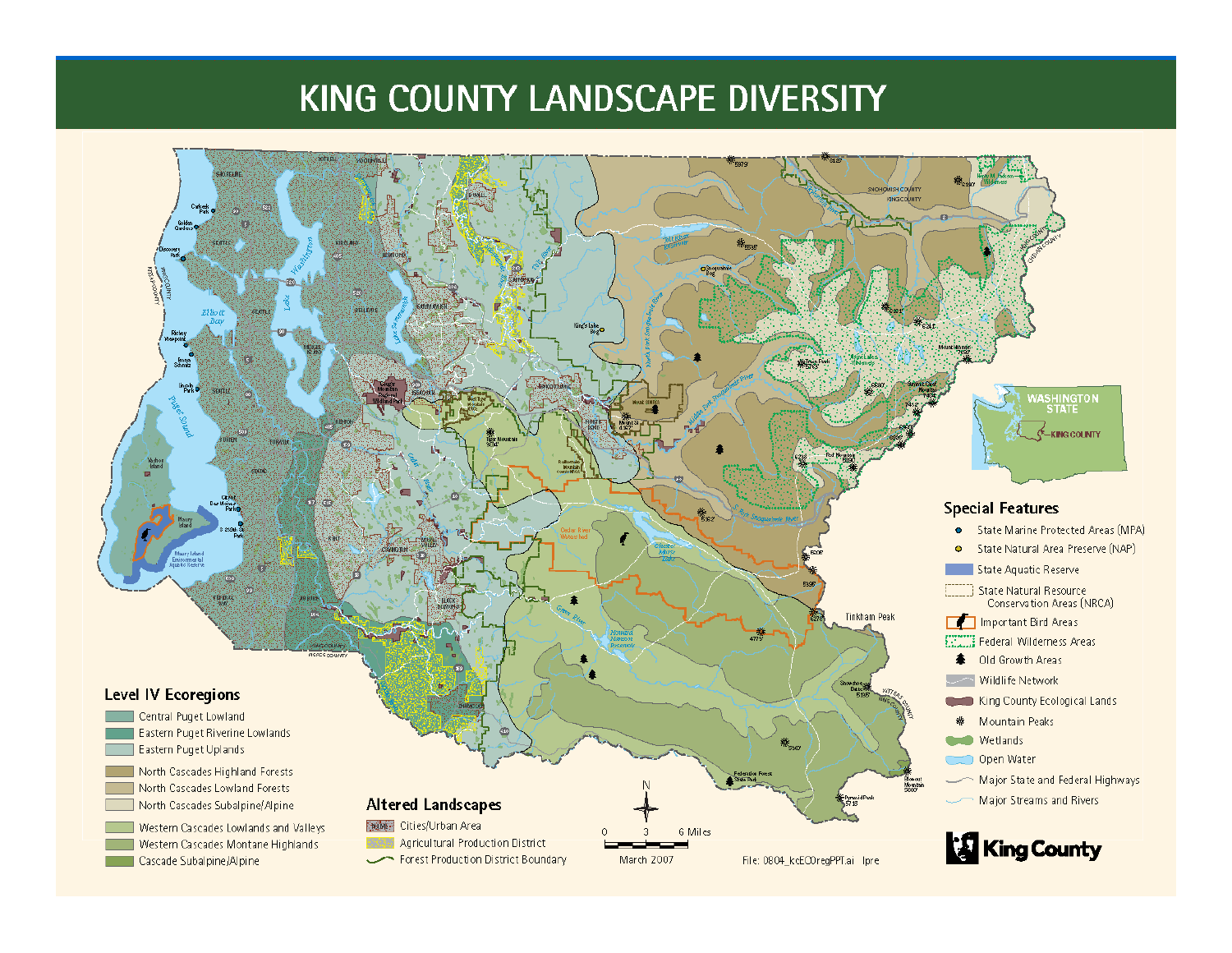### KING COUNTY LANDSCAPE DIVERSITY

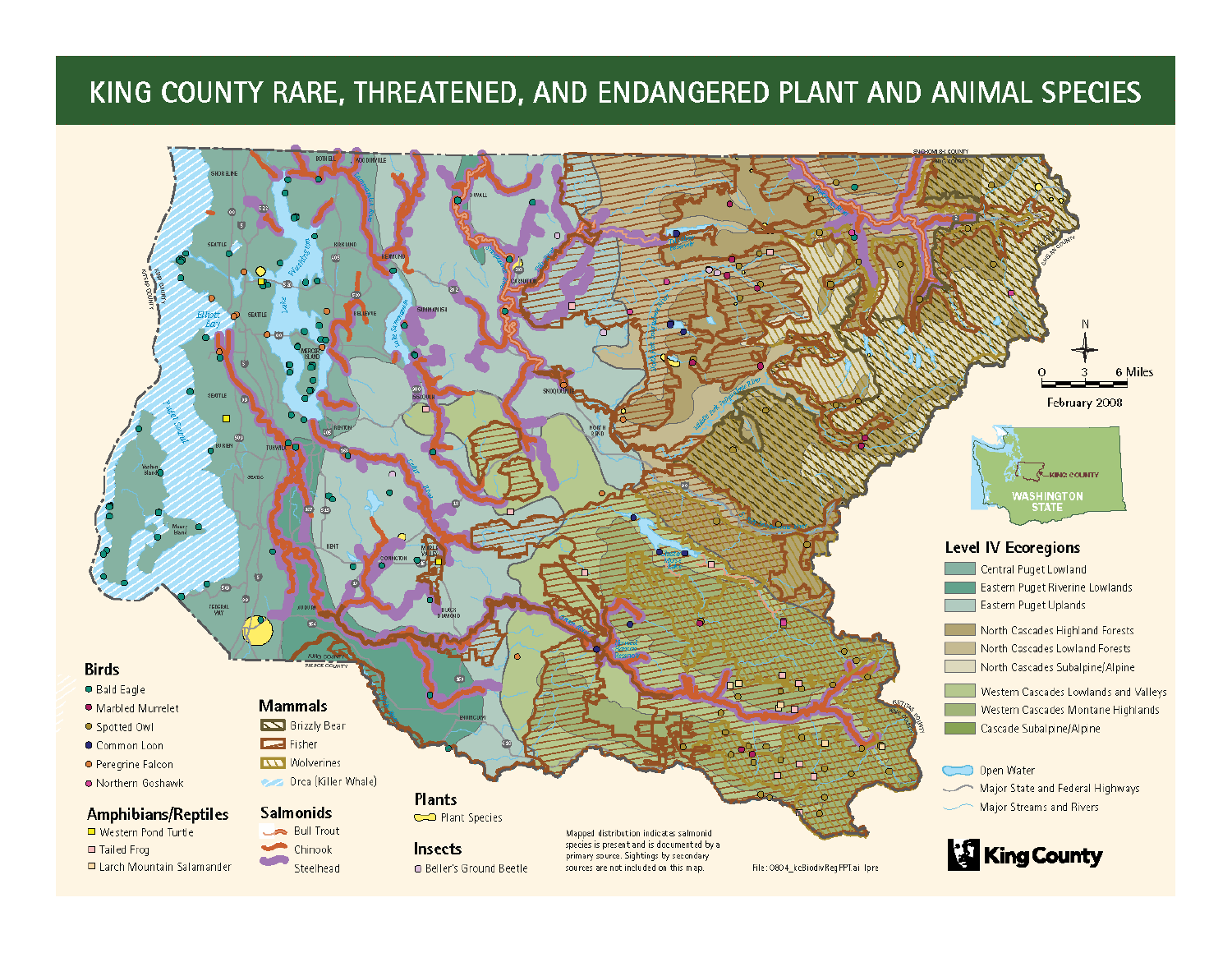#### KING COUNTY RARE, THREATENED, AND ENDANGERED PLANT AND ANIMAL SPECIES

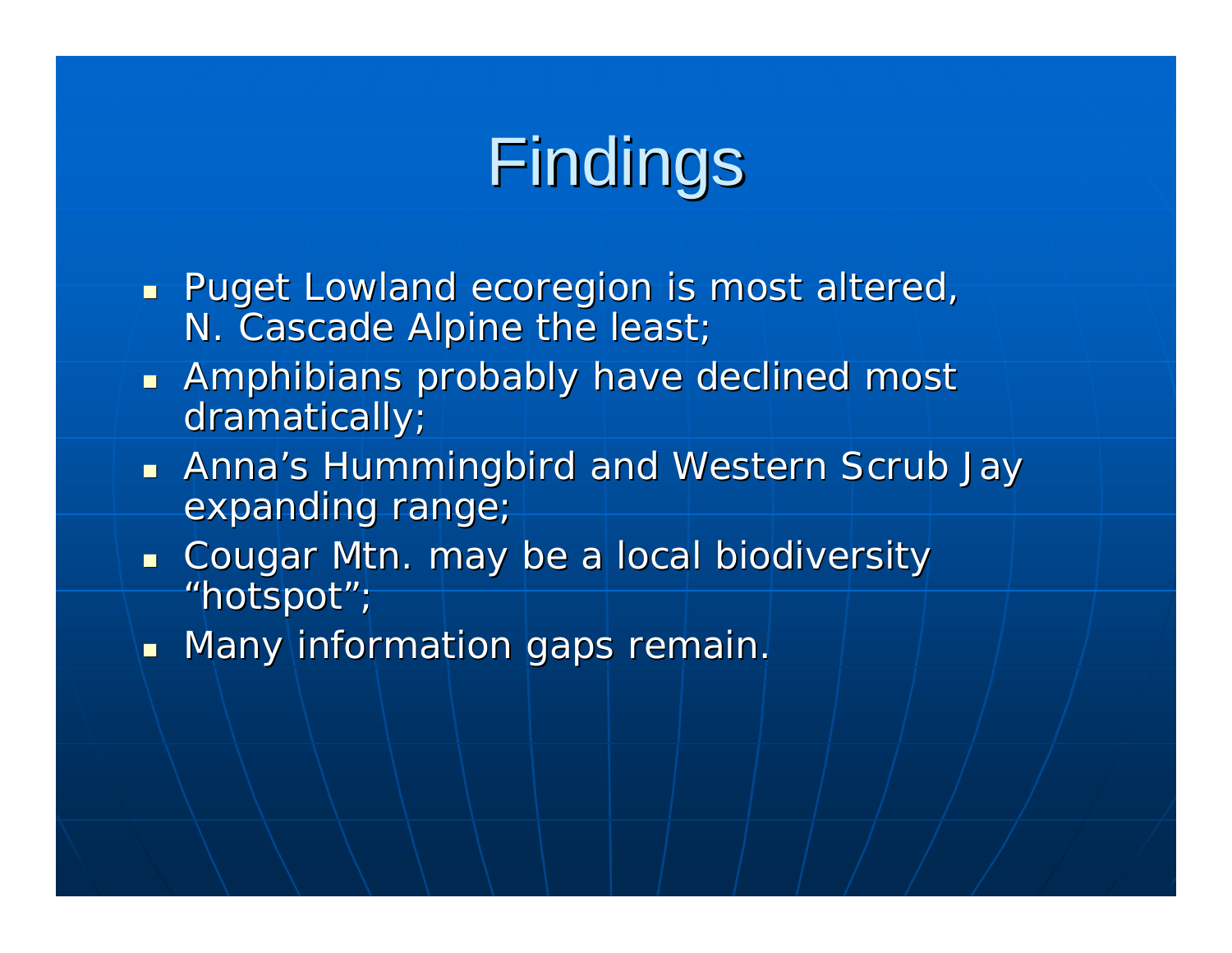# Findings

- **Puget Lowland ecoregion is most altered,** N. Cascade Alpine the least;
- **Amphibians probably have declined most national most random** dramatically;
- $\blacksquare$ Anna's Hummingbird and Western Scrub Jay expanding range;
- **Cougar Mtn. may be a local biodiversity** "hotspot";
- $\blacksquare$  Many information gaps remain.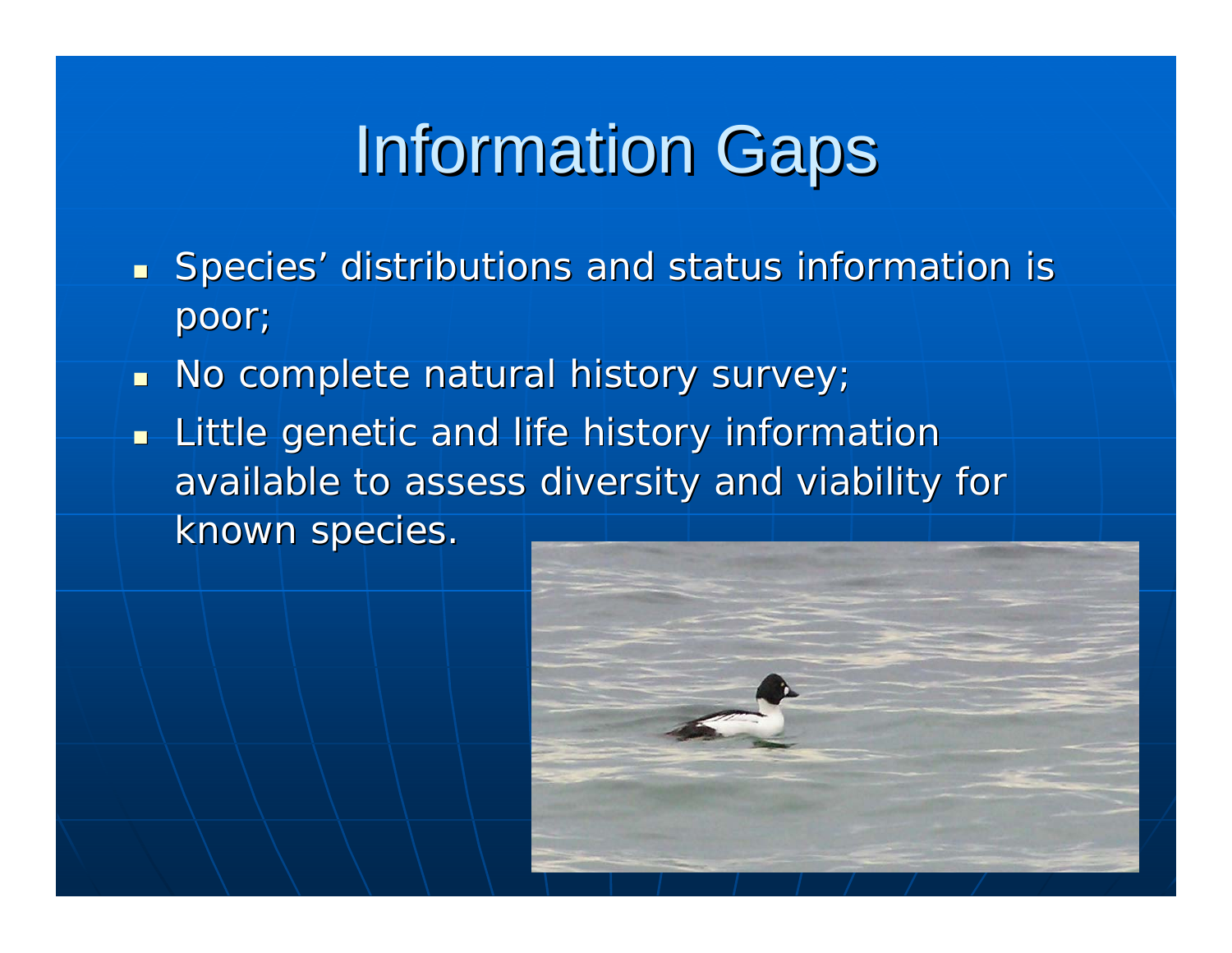# **Information Gaps**

- **Species' distributions and status information is** poor;
- $\blacksquare$ No complete natural history survey;
- $\blacksquare$  Little genetic and life history information available to assess diversity and viability for known species.

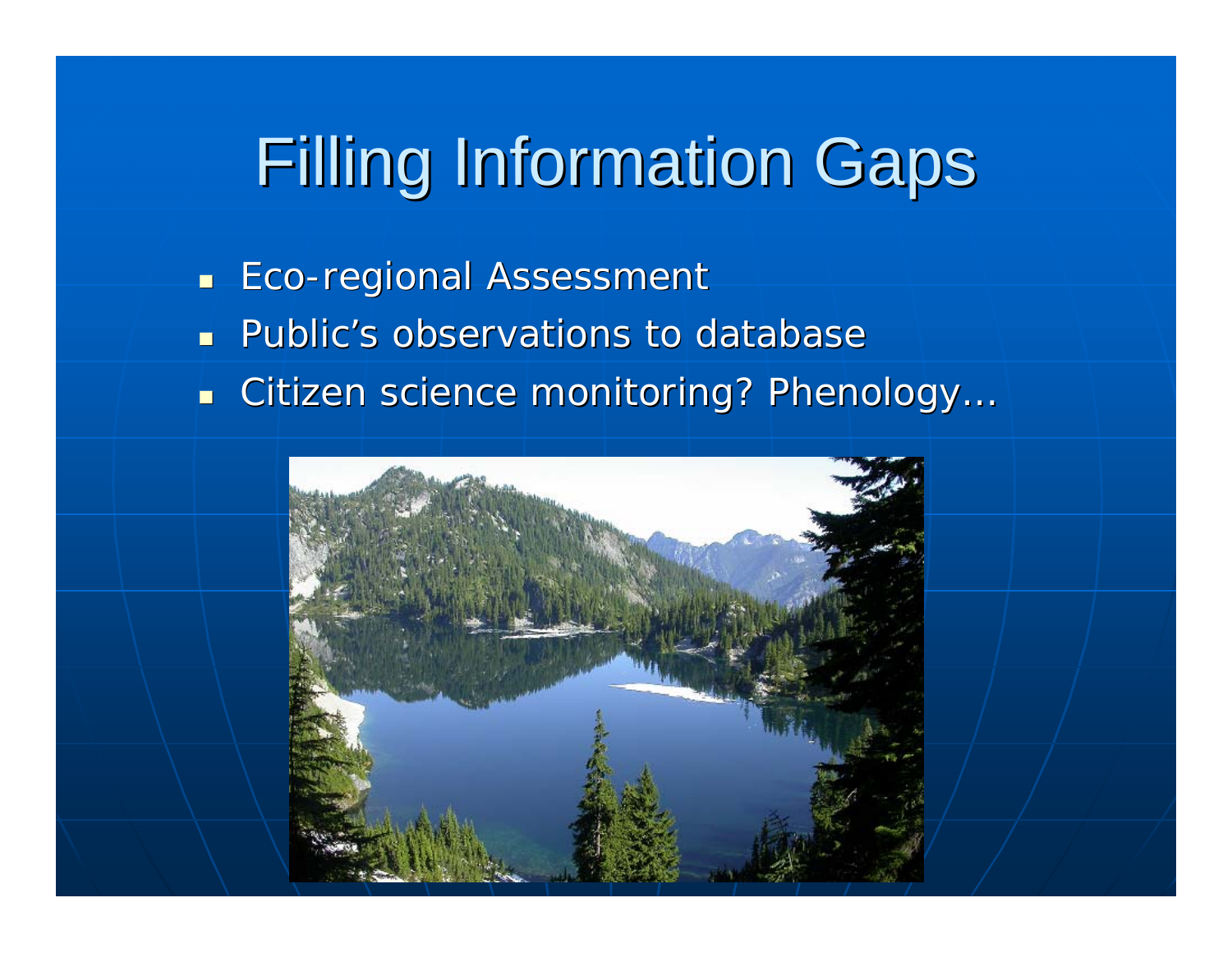# **Filling Information Gaps**

- $\blacksquare$ ■ Eco-regional Assessment
- П **Public's observations to database** s
- п ■ Citizen science monitoring? Phenology..

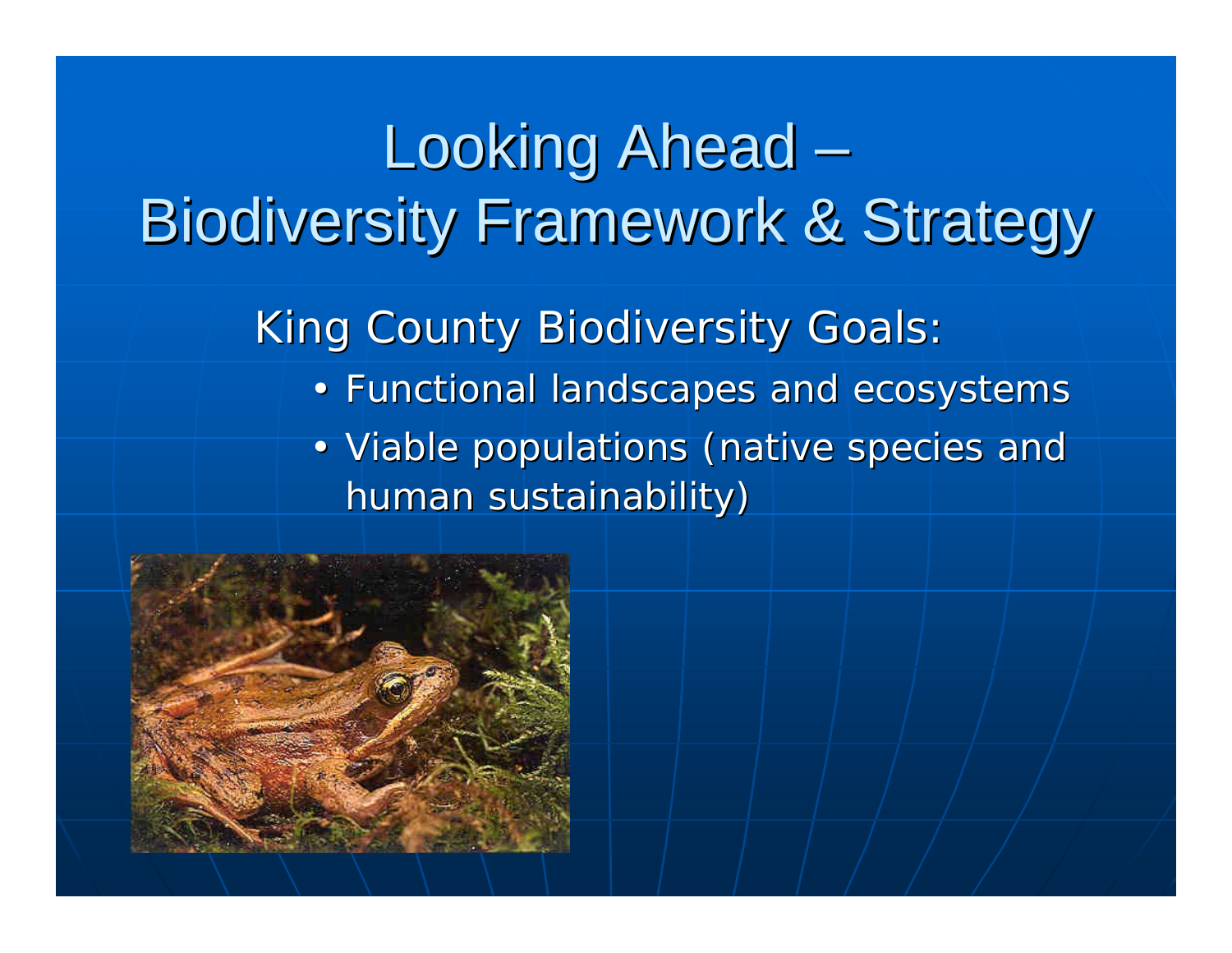## Looking Ahead Biodiversity Framework & Strategy Biodiversity Framework & Strategy

King County Biodiversity Goals:

- Functional landscapes and ecosystems
- Viable populations (native species and human sustainability)

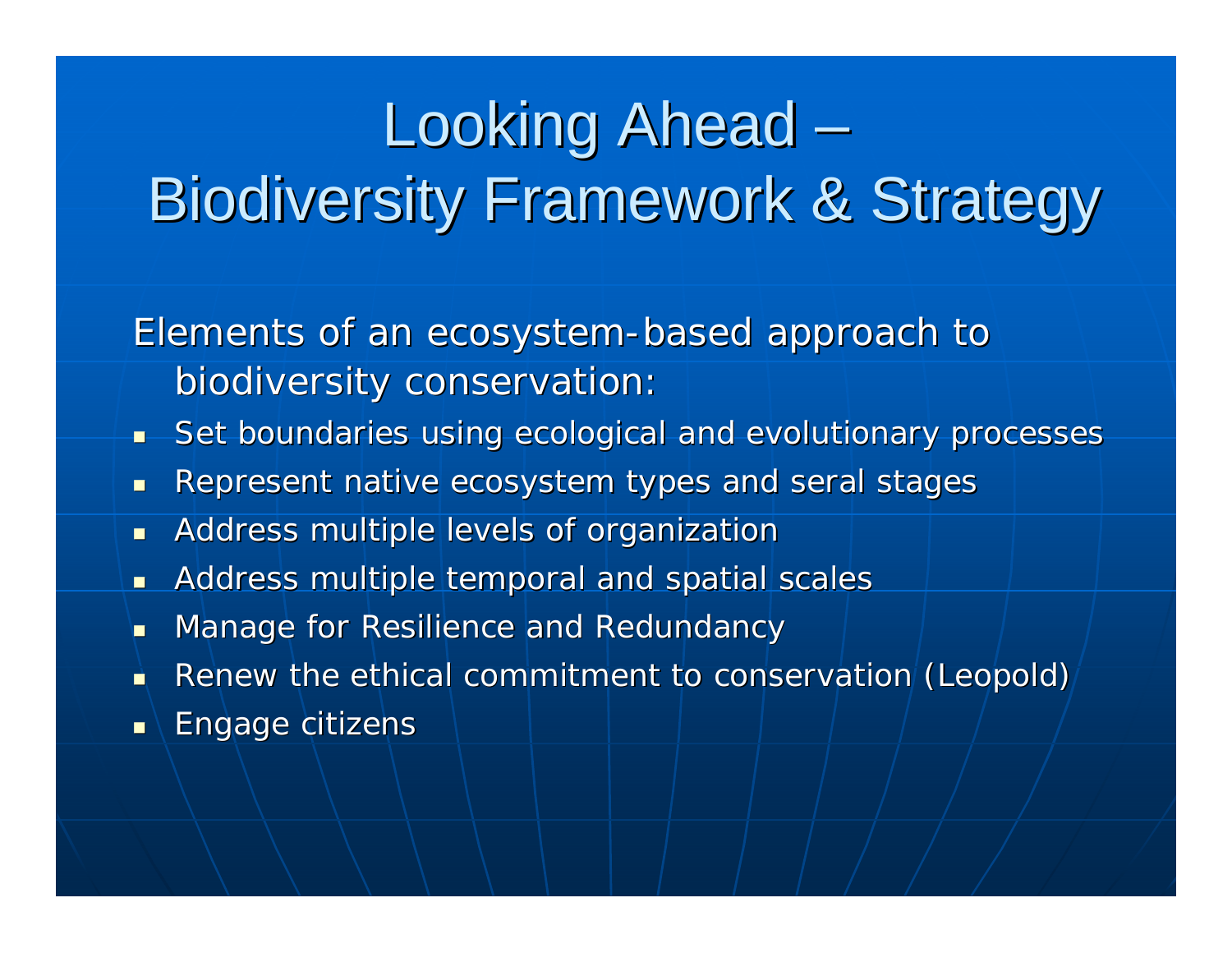# Looking Ahead Biodiversity Framework & Strategy

Elements of an ecosystem-based approach to biodiversity conservation:

- $\blacksquare$ Set boundaries using ecological and evolutionary processes
- $\blacksquare$ Represent native ecosystem types and seral stages
- $\blacksquare$ Address multiple levels of organization
- $\blacksquare$ Address multiple temporal and spatial scales
- $\blacksquare$ Manage for Resilience and Redundancy
- n) Renew the ethical commitment to conservation (Leopold)
- $\blacksquare$ Engage citizens Engage citizens